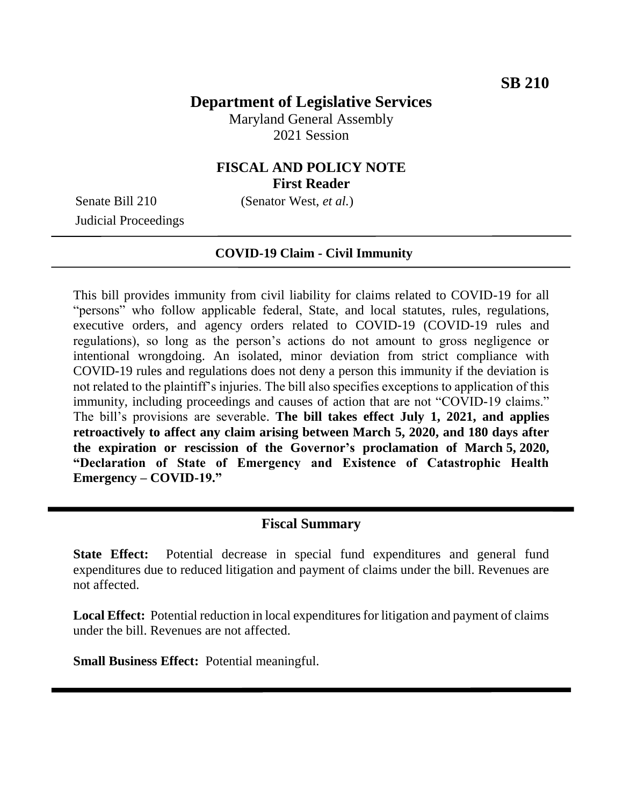# **Department of Legislative Services**

Maryland General Assembly 2021 Session

### **FISCAL AND POLICY NOTE First Reader**

Senate Bill 210 (Senator West, *et al.*)

Judicial Proceedings

#### **COVID-19 Claim - Civil Immunity**

This bill provides immunity from civil liability for claims related to COVID-19 for all "persons" who follow applicable federal, State, and local statutes, rules, regulations, executive orders, and agency orders related to COVID-19 (COVID-19 rules and regulations), so long as the person's actions do not amount to gross negligence or intentional wrongdoing. An isolated, minor deviation from strict compliance with COVID-19 rules and regulations does not deny a person this immunity if the deviation is not related to the plaintiff's injuries. The bill also specifies exceptions to application of this immunity, including proceedings and causes of action that are not "COVID-19 claims." The bill's provisions are severable. **The bill takes effect July 1, 2021, and applies retroactively to affect any claim arising between March 5, 2020, and 180 days after the expiration or rescission of the Governor's proclamation of March 5, 2020, "Declaration of State of Emergency and Existence of Catastrophic Health Emergency – COVID-19."**

#### **Fiscal Summary**

**State Effect:** Potential decrease in special fund expenditures and general fund expenditures due to reduced litigation and payment of claims under the bill. Revenues are not affected.

**Local Effect:** Potential reduction in local expenditures for litigation and payment of claims under the bill. Revenues are not affected.

**Small Business Effect:** Potential meaningful.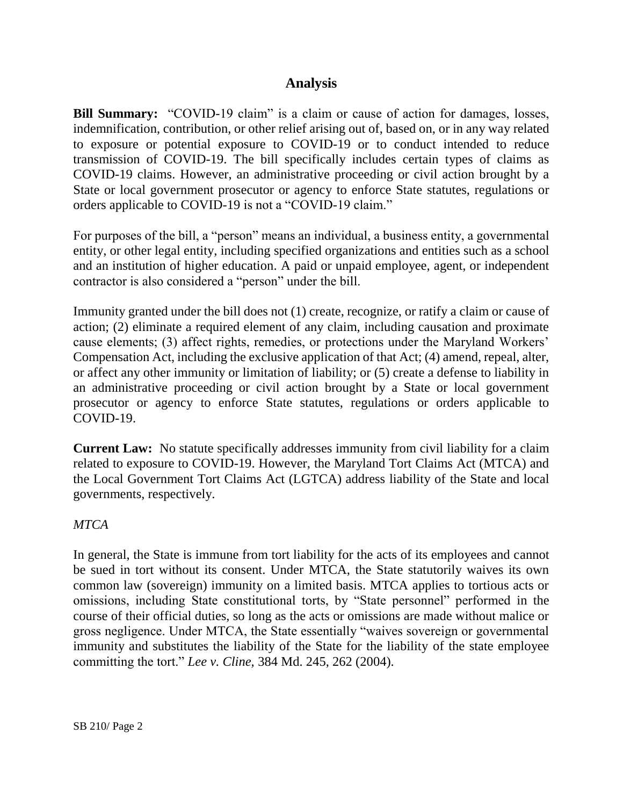### **Analysis**

**Bill Summary:** "COVID-19 claim" is a claim or cause of action for damages, losses, indemnification, contribution, or other relief arising out of, based on, or in any way related to exposure or potential exposure to COVID-19 or to conduct intended to reduce transmission of COVID-19. The bill specifically includes certain types of claims as COVID-19 claims. However, an administrative proceeding or civil action brought by a State or local government prosecutor or agency to enforce State statutes, regulations or orders applicable to COVID-19 is not a "COVID-19 claim."

For purposes of the bill, a "person" means an individual, a business entity, a governmental entity, or other legal entity, including specified organizations and entities such as a school and an institution of higher education. A paid or unpaid employee, agent, or independent contractor is also considered a "person" under the bill.

Immunity granted under the bill does not (1) create, recognize, or ratify a claim or cause of action; (2) eliminate a required element of any claim, including causation and proximate cause elements; (3) affect rights, remedies, or protections under the Maryland Workers' Compensation Act, including the exclusive application of that Act; (4) amend, repeal, alter, or affect any other immunity or limitation of liability; or (5) create a defense to liability in an administrative proceeding or civil action brought by a State or local government prosecutor or agency to enforce State statutes, regulations or orders applicable to COVID-19.

**Current Law:** No statute specifically addresses immunity from civil liability for a claim related to exposure to COVID-19. However, the Maryland Tort Claims Act (MTCA) and the Local Government Tort Claims Act (LGTCA) address liability of the State and local governments, respectively.

#### *MTCA*

In general, the State is immune from tort liability for the acts of its employees and cannot be sued in tort without its consent. Under MTCA, the State statutorily waives its own common law (sovereign) immunity on a limited basis. MTCA applies to tortious acts or omissions, including State constitutional torts, by "State personnel" performed in the course of their official duties, so long as the acts or omissions are made without malice or gross negligence. Under MTCA, the State essentially "waives sovereign or governmental immunity and substitutes the liability of the State for the liability of the state employee committing the tort." *Lee v. Cline,* 384 Md. 245, 262 (2004).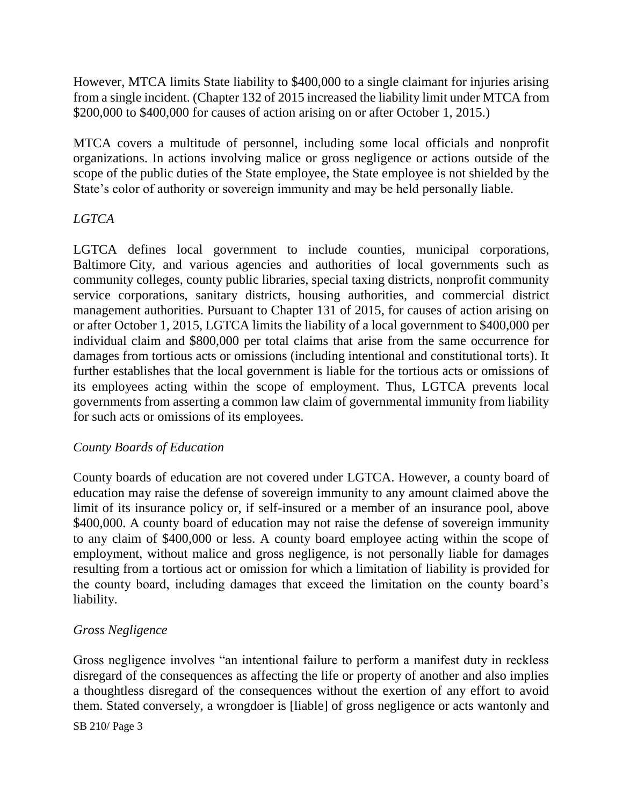However, MTCA limits State liability to \$400,000 to a single claimant for injuries arising from a single incident. (Chapter 132 of 2015 increased the liability limit under MTCA from \$200,000 to \$400,000 for causes of action arising on or after October 1, 2015.)

MTCA covers a multitude of personnel, including some local officials and nonprofit organizations. In actions involving malice or gross negligence or actions outside of the scope of the public duties of the State employee, the State employee is not shielded by the State's color of authority or sovereign immunity and may be held personally liable.

### *LGTCA*

LGTCA defines local government to include counties, municipal corporations, Baltimore City, and various agencies and authorities of local governments such as community colleges, county public libraries, special taxing districts, nonprofit community service corporations, sanitary districts, housing authorities, and commercial district management authorities. Pursuant to Chapter 131 of 2015, for causes of action arising on or after October 1, 2015, LGTCA limits the liability of a local government to \$400,000 per individual claim and \$800,000 per total claims that arise from the same occurrence for damages from tortious acts or omissions (including intentional and constitutional torts). It further establishes that the local government is liable for the tortious acts or omissions of its employees acting within the scope of employment. Thus, LGTCA prevents local governments from asserting a common law claim of governmental immunity from liability for such acts or omissions of its employees.

#### *County Boards of Education*

County boards of education are not covered under LGTCA. However, a county board of education may raise the defense of sovereign immunity to any amount claimed above the limit of its insurance policy or, if self-insured or a member of an insurance pool, above \$400,000. A county board of education may not raise the defense of sovereign immunity to any claim of \$400,000 or less. A county board employee acting within the scope of employment, without malice and gross negligence, is not personally liable for damages resulting from a tortious act or omission for which a limitation of liability is provided for the county board, including damages that exceed the limitation on the county board's liability.

#### *Gross Negligence*

Gross negligence involves "an intentional failure to perform a manifest duty in reckless disregard of the consequences as affecting the life or property of another and also implies a thoughtless disregard of the consequences without the exertion of any effort to avoid them. Stated conversely, a wrongdoer is [liable] of gross negligence or acts wantonly and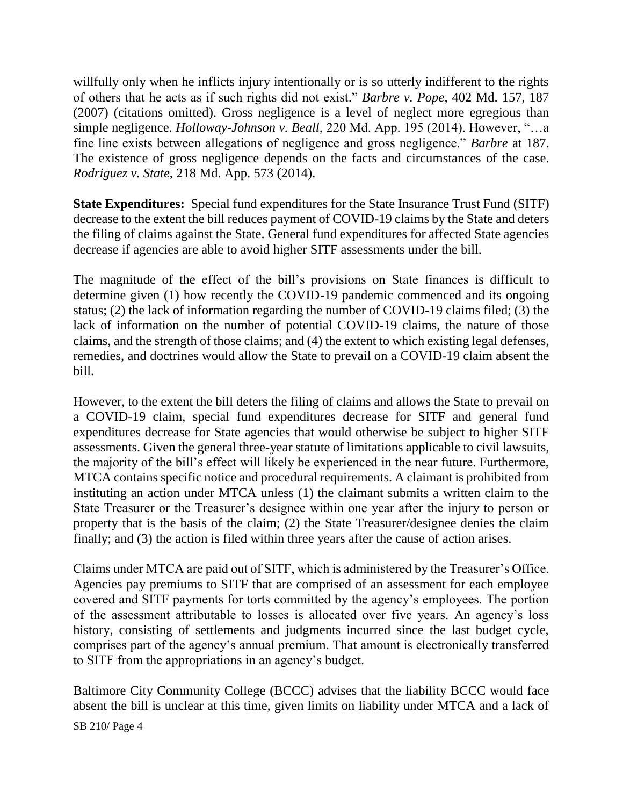willfully only when he inflicts injury intentionally or is so utterly indifferent to the rights of others that he acts as if such rights did not exist." *Barbre v. Pope*, 402 Md. 157, 187 (2007) (citations omitted). Gross negligence is a level of neglect more egregious than simple negligence. *Holloway-Johnson v. Beall*, 220 Md. App. 195 (2014). However, "…a fine line exists between allegations of negligence and gross negligence." *Barbre* at 187. The existence of gross negligence depends on the facts and circumstances of the case. *Rodriguez v. State*, 218 Md. App. 573 (2014).

**State Expenditures:** Special fund expenditures for the State Insurance Trust Fund (SITF) decrease to the extent the bill reduces payment of COVID-19 claims by the State and deters the filing of claims against the State. General fund expenditures for affected State agencies decrease if agencies are able to avoid higher SITF assessments under the bill.

The magnitude of the effect of the bill's provisions on State finances is difficult to determine given (1) how recently the COVID-19 pandemic commenced and its ongoing status; (2) the lack of information regarding the number of COVID-19 claims filed; (3) the lack of information on the number of potential COVID-19 claims, the nature of those claims, and the strength of those claims; and (4) the extent to which existing legal defenses, remedies, and doctrines would allow the State to prevail on a COVID-19 claim absent the bill.

However, to the extent the bill deters the filing of claims and allows the State to prevail on a COVID-19 claim, special fund expenditures decrease for SITF and general fund expenditures decrease for State agencies that would otherwise be subject to higher SITF assessments. Given the general three-year statute of limitations applicable to civil lawsuits, the majority of the bill's effect will likely be experienced in the near future. Furthermore, MTCA contains specific notice and procedural requirements. A claimant is prohibited from instituting an action under MTCA unless (1) the claimant submits a written claim to the State Treasurer or the Treasurer's designee within one year after the injury to person or property that is the basis of the claim; (2) the State Treasurer/designee denies the claim finally; and (3) the action is filed within three years after the cause of action arises.

Claims under MTCA are paid out of SITF, which is administered by the Treasurer's Office. Agencies pay premiums to SITF that are comprised of an assessment for each employee covered and SITF payments for torts committed by the agency's employees. The portion of the assessment attributable to losses is allocated over five years. An agency's loss history, consisting of settlements and judgments incurred since the last budget cycle, comprises part of the agency's annual premium. That amount is electronically transferred to SITF from the appropriations in an agency's budget.

Baltimore City Community College (BCCC) advises that the liability BCCC would face absent the bill is unclear at this time, given limits on liability under MTCA and a lack of

SB 210/ Page 4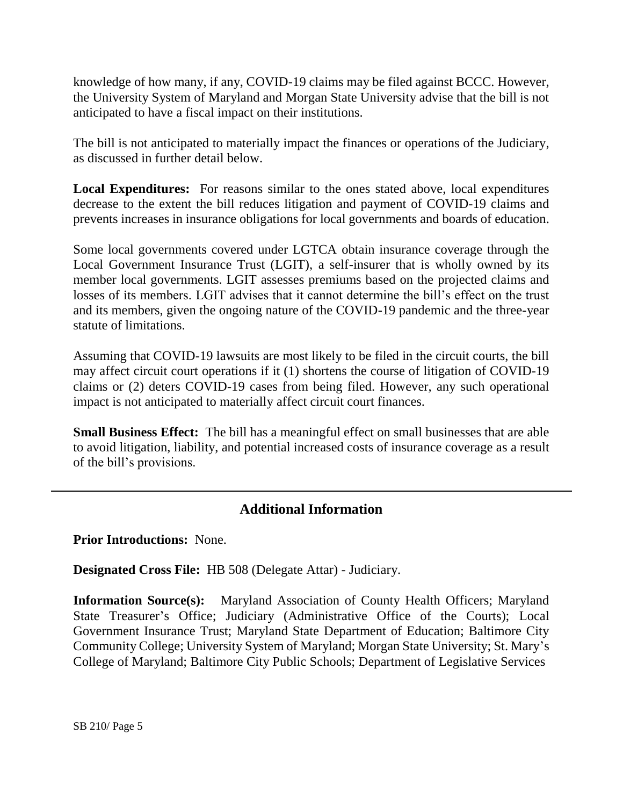knowledge of how many, if any, COVID-19 claims may be filed against BCCC. However, the University System of Maryland and Morgan State University advise that the bill is not anticipated to have a fiscal impact on their institutions.

The bill is not anticipated to materially impact the finances or operations of the Judiciary, as discussed in further detail below.

**Local Expenditures:** For reasons similar to the ones stated above, local expenditures decrease to the extent the bill reduces litigation and payment of COVID-19 claims and prevents increases in insurance obligations for local governments and boards of education.

Some local governments covered under LGTCA obtain insurance coverage through the Local Government Insurance Trust (LGIT), a self-insurer that is wholly owned by its member local governments. LGIT assesses premiums based on the projected claims and losses of its members. LGIT advises that it cannot determine the bill's effect on the trust and its members, given the ongoing nature of the COVID-19 pandemic and the three-year statute of limitations.

Assuming that COVID-19 lawsuits are most likely to be filed in the circuit courts, the bill may affect circuit court operations if it (1) shortens the course of litigation of COVID-19 claims or (2) deters COVID-19 cases from being filed. However, any such operational impact is not anticipated to materially affect circuit court finances.

**Small Business Effect:** The bill has a meaningful effect on small businesses that are able to avoid litigation, liability, and potential increased costs of insurance coverage as a result of the bill's provisions.

## **Additional Information**

**Prior Introductions:** None.

**Designated Cross File:** HB 508 (Delegate Attar) - Judiciary.

**Information Source(s):** Maryland Association of County Health Officers; Maryland State Treasurer's Office; Judiciary (Administrative Office of the Courts); Local Government Insurance Trust; Maryland State Department of Education; Baltimore City Community College; University System of Maryland; Morgan State University; St. Mary's College of Maryland; Baltimore City Public Schools; Department of Legislative Services